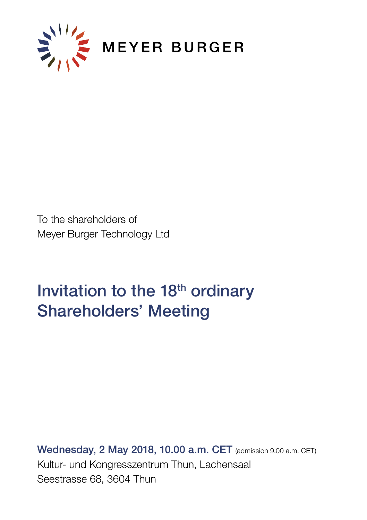

To the shareholders of Meyer Burger Technology Ltd

# Invitation to the 18<sup>th</sup> ordinary Shareholders' Meeting

Wednesday, 2 May 2018, 10.00 a.m. CET (admission 9.00 a.m. CET) Kultur- und Kongresszentrum Thun, Lachensaal Seestrasse 68, 3604 Thun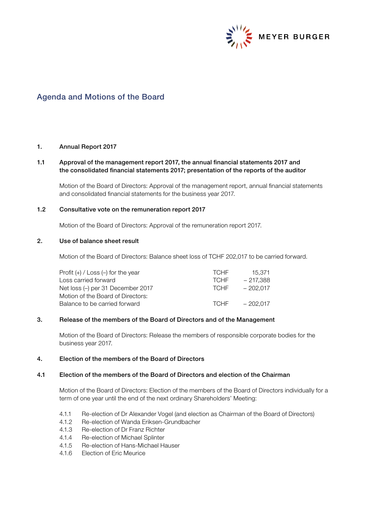

# Agenda and Motions of the Board

## 1. Annual Report 2017

# 1.1 Approval of the management report 2017, the annual financial statements 2017 and the consolidated financial statements 2017; presentation of the reports of the auditor

Motion of the Board of Directors: Approval of the management report, annual financial statements and consolidated financial statements for the business year 2017.

# 1.2 Consultative vote on the remuneration report 2017

Motion of the Board of Directors: Approval of the remuneration report 2017.

# 2. Use of balance sheet result

Motion of the Board of Directors: Balance sheet loss of TCHF 202,017 to be carried forward.

| Profit $(+)$ / Loss $(-)$ for the year | <b>TCHE</b> | 15.371     |
|----------------------------------------|-------------|------------|
| Loss carried forward                   | <b>TCHE</b> | - 217.388  |
| Net loss (-) per 31 December 2017      | <b>TCHE</b> | $-202.017$ |
| Motion of the Board of Directors:      |             |            |
| Balance to be carried forward          | <b>TCHE</b> | $-202.017$ |
|                                        |             |            |

## 3. Release of the members of the Board of Directors and of the Management

Motion of the Board of Directors: Release the members of responsible corporate bodies for the business year 2017.

#### 4. Election of the members of the Board of Directors

#### 4.1 Election of the members of the Board of Directors and election of the Chairman

 Motion of the Board of Directors: Election of the members of the Board of Directors individually for a term of one year until the end of the next ordinary Shareholders' Meeting:

- 4.1.1 Re-election of Dr Alexander Vogel (and election as Chairman of the Board of Directors)
- 4.1.2 Re-election of Wanda Eriksen-Grundbacher
- 4.1.3 Re-election of Dr Franz Richter<br>4.1.4 Re-election of Michael Splinter
- 4.1.4 Re-election of Michael Splinter
- 4.1.5 Re-election of Hans-Michael Hauser
- 4.1.6 Election of Eric Meurice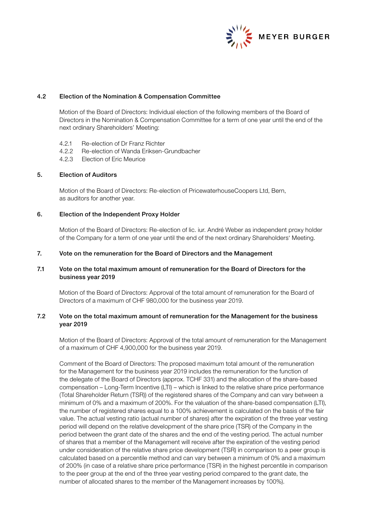

# 4.2 Election of the Nomination & Compensation Committee

Motion of the Board of Directors: Individual election of the following members of the Board of Directors in the Nomination & Compensation Committee for a term of one year until the end of the next ordinary Shareholders' Meeting:

- 4.2.1 Re-election of Dr Franz Richter
- 4.2.2 Re-election of Wanda Eriksen-Grundbacher
- 4.2.3 Election of Eric Meurice

## 5. Election of Auditors

Motion of the Board of Directors: Re-election of PricewaterhouseCoopers Ltd, Bern, as auditors for another year.

## 6. Election of the Independent Proxy Holder

Motion of the Board of Directors: Re-election of lic. iur. André Weber as independent proxy holder of the Company for a term of one year until the end of the next ordinary Shareholders' Meeting.

#### 7. Vote on the remuneration for the Board of Directors and the Management

# 7.1 Vote on the total maximum amount of remuneration for the Board of Directors for the business year 2019

Motion of the Board of Directors: Approval of the total amount of remuneration for the Board of Directors of a maximum of CHF 980,000 for the business year 2019.

# 7.2 Vote on the total maximum amount of remuneration for the Management for the business year 2019

Motion of the Board of Directors: Approval of the total amount of remuneration for the Management of a maximum of CHF 4,900,000 for the business year 2019.

Comment of the Board of Directors: The proposed maximum total amount of the remuneration for the Management for the business year 2019 includes the remuneration for the function of the delegate of the Board of Directors (approx. TCHF 331) and the allocation of the share-based compensation – Long-Term Incentive (LTI) – which is linked to the relative share price performance (Total Shareholder Return (TSR)) of the registered shares of the Company and can vary between a minimum of 0% and a maximum of 200%. For the valuation of the share-based compensation (LTI), the number of registered shares equal to a 100% achievement is calculated on the basis of the fair value. The actual vesting ratio (actual number of shares) after the expiration of the three year vesting period will depend on the relative development of the share price (TSR) of the Company in the period between the grant date of the shares and the end of the vesting period. The actual number of shares that a member of the Management will receive after the expiration of the vesting period under consideration of the relative share price development (TSR) in comparison to a peer group is calculated based on a percentile method and can vary between a minimum of 0% and a maximum of 200% (in case of a relative share price performance (TSR) in the highest percentile in comparison to the peer group at the end of the three year vesting period compared to the grant date, the number of allocated shares to the member of the Management increases by 100%).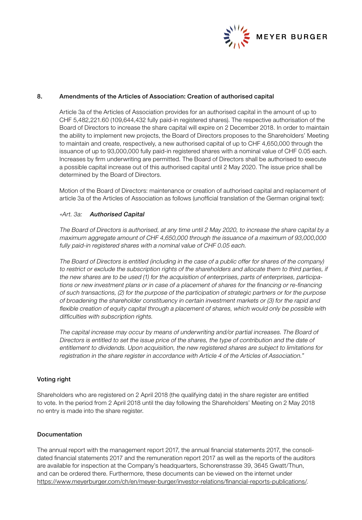

# 8. Amendments of the Articles of Association: Creation of authorised capital

Article 3a of the Articles of Association provides for an authorised capital in the amount of up to CHF 5,482,221.60 (109,644,432 fully paid-in registered shares). The respective authorisation of the Board of Directors to increase the share capital will expire on 2 December 2018. In order to maintain the ability to implement new projects, the Board of Directors proposes to the Shareholders' Meeting to maintain and create, respectively, a new authorised capital of up to CHF 4,650,000 through the issuance of up to 93,000,000 fully paid-in registered shares with a nominal value of CHF 0.05 each. Increases by firm underwriting are permitted. The Board of Directors shall be authorised to execute a possible capital increase out of this authorised capital until 2 May 2020. The issue price shall be determined by the Board of Directors.

Motion of the Board of Directors: maintenance or creation of authorised capital and replacement of article 3a of the Articles of Association as follows (unofficial translation of the German original text):

#### «Art. 3a: Authorised Capital

The Board of Directors is authorised, at any time until 2 May 2020, to increase the share capital by a maximum aggregate amount of CHF 4,650,000 through the issuance of a maximum of 93,000,000 fully paid-in registered shares with a nominal value of CHF 0.05 each.

The Board of Directors is entitled (including in the case of a public offer for shares of the company) to restrict or exclude the subscription rights of the shareholders and allocate them to third parties, if the new shares are to be used (1) for the acquisition of enterprises, parts of enterprises, participations or new investment plans or in case of a placement of shares for the financing or re-financing of such transactions, (2) for the purpose of the participation of strategic partners or for the purpose of broadening the shareholder constituency in certain investment markets or (3) for the rapid and flexible creation of equity capital through a placement of shares, which would only be possible with difficulties with subscription rights.

The capital increase may occur by means of underwriting and/or partial increases. The Board of Directors is entitled to set the issue price of the shares, the type of contribution and the date of entitlement to dividends. Upon acquisition, the new registered shares are subject to limitations for registration in the share register in accordance with Article 4 of the Articles of Association."

# Voting right

Shareholders who are registered on 2 April 2018 (the qualifying date) in the share register are entitled to vote. In the period from 2 April 2018 until the day following the Shareholders' Meeting on 2 May 2018 no entry is made into the share register.

# Documentation

The annual report with the management report 2017, the annual financial statements 2017, the consolidated financial statements 2017 and the remuneration report 2017 as well as the reports of the auditors are available for inspection at the Company's headquarters, Schorenstrasse 39, 3645 Gwatt/Thun, and can be ordered there. Furthermore, these documents can be viewed on the internet under https://www.meyerburger.com/ch/en/meyer-burger/investor-relations/financial-reports-publications/.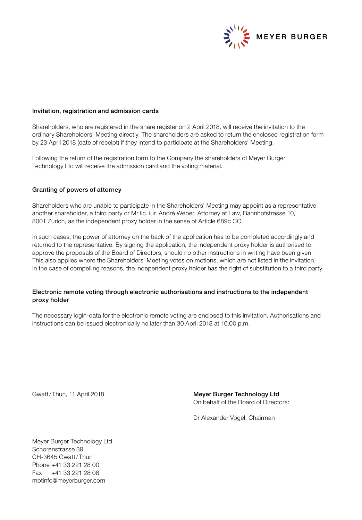

## Invitation, registration and admission cards

Shareholders, who are registered in the share register on 2 April 2018, will receive the invitation to the ordinary Shareholders' Meeting directly. The shareholders are asked to return the enclosed registration form by 23 April 2018 (date of receipt) if they intend to participate at the Shareholders' Meeting.

Following the return of the registration form to the Company the shareholders of Meyer Burger Technology Ltd will receive the admission card and the voting material.

#### Granting of powers of attorney

Shareholders who are unable to participate in the Shareholders' Meeting may appoint as a representative another shareholder, a third party or Mr lic. iur. André Weber, Attorney at Law, Bahnhofstrasse 10, 8001 Zurich, as the independent proxy holder in the sense of Article 689c CO.

In such cases, the power of attorney on the back of the application has to be completed accordingly and returned to the representative. By signing the application, the independent proxy holder is authorised to approve the proposals of the Board of Directors, should no other instructions in writing have been given. This also applies where the Shareholders' Meeting votes on motions, which are not listed in the invitation. In the case of compelling reasons, the independent proxy holder has the right of substitution to a third party.

# Electronic remote voting through electronic authorisations and instructions to the independent proxy holder

The necessary login-data for the electronic remote voting are enclosed to this invitation. Authorisations and instructions can be issued electronically no later than 30 April 2018 at 10.00 p.m.

Gwatt/Thun, 11 April 2018 **Meyer Burger Technology Ltd** On behalf of the Board of Directors:

Dr Alexander Vogel, Chairman

Meyer Burger Technology Ltd Schorenstrasse 39 CH-3645 Gwatt/Thun Phone +41 33 221 28 00 Fax +41 33 221 28 08 mbtinfo@meyerburger.com